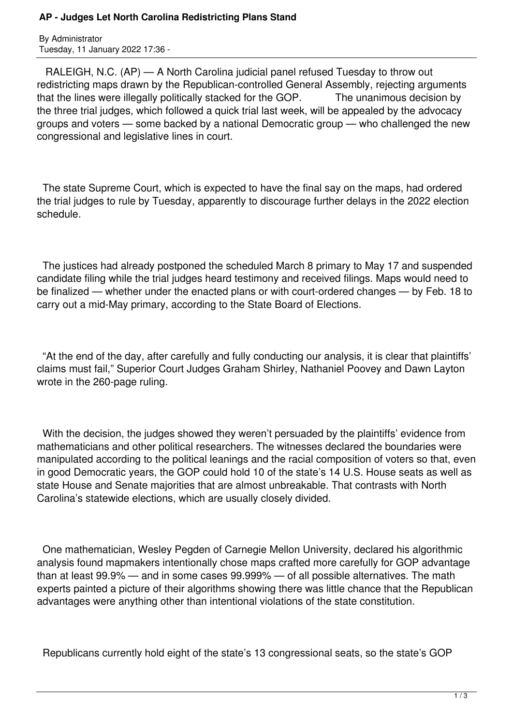## **AP - Judges Let North Carolina Redistricting Plans Stand**

By Administrator Tuesday, 11 January 2022 17:36 -

 RALEIGH, N.C. (AP) — A North Carolina judicial panel refused Tuesday to throw out redistricting maps drawn by the Republican-controlled General Assembly, rejecting arguments that the lines were illegally politically stacked for the GOP. The unanimous decision by the three trial judges, which followed a quick trial last week, will be appealed by the advocacy groups and voters — some backed by a national Democratic group — who challenged the new congressional and legislative lines in court.

 The state Supreme Court, which is expected to have the final say on the maps, had ordered the trial judges to rule by Tuesday, apparently to discourage further delays in the 2022 election schedule.

 The justices had already postponed the scheduled March 8 primary to May 17 and suspended candidate filing while the trial judges heard testimony and received filings. Maps would need to be finalized — whether under the enacted plans or with court-ordered changes — by Feb. 18 to carry out a mid-May primary, according to the State Board of Elections.

 "At the end of the day, after carefully and fully conducting our analysis, it is clear that plaintiffs' claims must fail," Superior Court Judges Graham Shirley, Nathaniel Poovey and Dawn Layton wrote in the 260-page ruling.

 With the decision, the judges showed they weren't persuaded by the plaintiffs' evidence from mathematicians and other political researchers. The witnesses declared the boundaries were manipulated according to the political leanings and the racial composition of voters so that, even in good Democratic years, the GOP could hold 10 of the state's 14 U.S. House seats as well as state House and Senate majorities that are almost unbreakable. That contrasts with North Carolina's statewide elections, which are usually closely divided.

 One mathematician, Wesley Pegden of Carnegie Mellon University, declared his algorithmic analysis found mapmakers intentionally chose maps crafted more carefully for GOP advantage than at least 99.9% — and in some cases 99.999% — of all possible alternatives. The math experts painted a picture of their algorithms showing there was little chance that the Republican advantages were anything other than intentional violations of the state constitution.

Republicans currently hold eight of the state's 13 congressional seats, so the state's GOP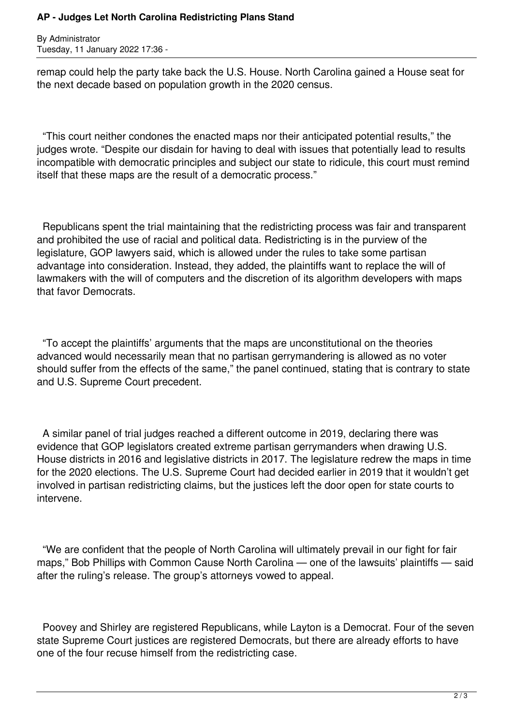## **AP - Judges Let North Carolina Redistricting Plans Stand**

By Administrator Tuesday, 11 January 2022 17:36 -

remap could help the party take back the U.S. House. North Carolina gained a House seat for the next decade based on population growth in the 2020 census.

 "This court neither condones the enacted maps nor their anticipated potential results," the judges wrote. "Despite our disdain for having to deal with issues that potentially lead to results incompatible with democratic principles and subject our state to ridicule, this court must remind itself that these maps are the result of a democratic process."

 Republicans spent the trial maintaining that the redistricting process was fair and transparent and prohibited the use of racial and political data. Redistricting is in the purview of the legislature, GOP lawyers said, which is allowed under the rules to take some partisan advantage into consideration. Instead, they added, the plaintiffs want to replace the will of lawmakers with the will of computers and the discretion of its algorithm developers with maps that favor Democrats.

 "To accept the plaintiffs' arguments that the maps are unconstitutional on the theories advanced would necessarily mean that no partisan gerrymandering is allowed as no voter should suffer from the effects of the same," the panel continued, stating that is contrary to state and U.S. Supreme Court precedent.

 A similar panel of trial judges reached a different outcome in 2019, declaring there was evidence that GOP legislators created extreme partisan gerrymanders when drawing U.S. House districts in 2016 and legislative districts in 2017. The legislature redrew the maps in time for the 2020 elections. The U.S. Supreme Court had decided earlier in 2019 that it wouldn't get involved in partisan redistricting claims, but the justices left the door open for state courts to intervene.

 "We are confident that the people of North Carolina will ultimately prevail in our fight for fair maps," Bob Phillips with Common Cause North Carolina — one of the lawsuits' plaintiffs — said after the ruling's release. The group's attorneys vowed to appeal.

 Poovey and Shirley are registered Republicans, while Layton is a Democrat. Four of the seven state Supreme Court justices are registered Democrats, but there are already efforts to have one of the four recuse himself from the redistricting case.